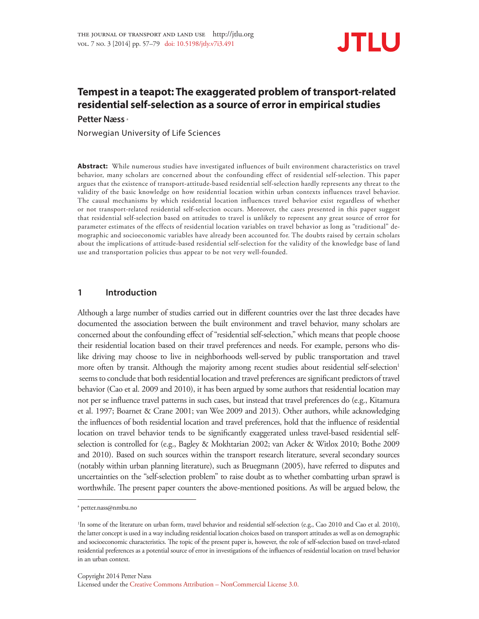

# **Tempest in a teapot: The exaggerated problem of transport-related residential self-selection as a source of error in empirical studies**

**Petter Næss** <sup>a</sup>

Norwegian University of Life Sciences

**Abstract:** While numerous studies have investigated influences of built environment characteristics on travel behavior, many scholars are concerned about the confounding effect of residential self-selection. This paper argues that the existence of transport-attitude-based residential self-selection hardly represents any threat to the validity of the basic knowledge on how residential location within urban contexts influences travel behavior. The causal mechanisms by which residential location influences travel behavior exist regardless of whether or not transport-related residential self-selection occurs. Moreover, the cases presented in this paper suggest that residential self-selection based on attitudes to travel is unlikely to represent any great source of error for parameter estimates of the effects of residential location variables on travel behavior as long as "traditional" demographic and socioeconomic variables have already been accounted for. The doubts raised by certain scholars about the implications of attitude-based residential self-selection for the validity of the knowledge base of land use and transportation policies thus appear to be not very well-founded.

## **1 Introduction**

Although a large number of studies carried out in different countries over the last three decades have documented the association between the built environment and travel behavior, many scholars are concerned about the confounding effect of "residential self-selection," which means that people choose their residential location based on their travel preferences and needs. For example, persons who dislike driving may choose to live in neighborhoods well-served by public transportation and travel more often by transit. Although the majority among recent studies about residential self-selection<sup>1</sup> seems to conclude that both residential location and travel preferences are significant predictors of travel behavior (Cao et al. 2009 and 2010), it has been argued by some authors that residential location may not per se influence travel patterns in such cases, but instead that travel preferences do (e.g., Kitamura et al. 1997; Boarnet & Crane 2001; van Wee 2009 and 2013). Other authors, while acknowledging the influences of both residential location and travel preferences, hold that the influence of residential location on travel behavior tends to be significantly exaggerated unless travel-based residential selfselection is controlled for (e.g., Bagley & Mokhtarian 2002; van Acker & Witlox 2010; Bothe 2009 and 2010). Based on such sources within the transport research literature, several secondary sources (notably within urban planning literature), such as Bruegmann (2005), have referred to disputes and uncertainties on the "self-selection problem" to raise doubt as to whether combatting urban sprawl is worthwhile. The present paper counters the above-mentioned positions. As will be argued below, the

a petter.nass@nmbu.no

<sup>&</sup>lt;sup>1</sup>In some of the literature on urban form, travel behavior and residential self-selection (e.g., Cao 2010 and Cao et al. 2010), the latter concept is used in a way including residential location choices based on transport attitudes as well as on demographic and socioeconomic characteristics. The topic of the present paper is, however, the role of self-selection based on travel-related residential preferences as a potential source of error in investigations of the influences of residential location on travel behavior in an urban context.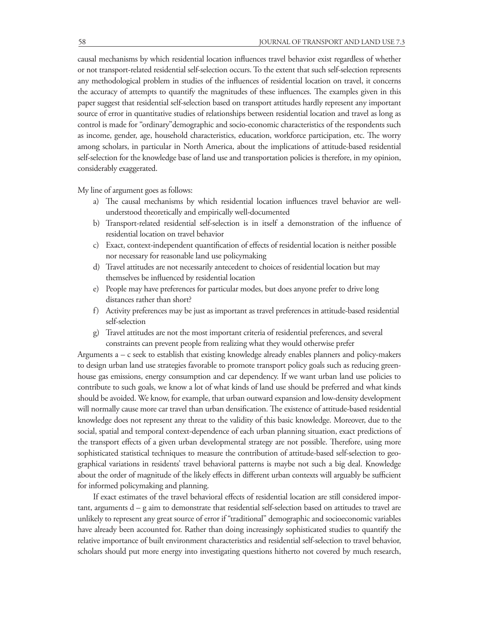causal mechanisms by which residential location influences travel behavior exist regardless of whether or not transport-related residential self-selection occurs. To the extent that such self-selection represents any methodological problem in studies of the influences of residential location on travel, it concerns the accuracy of attempts to quantify the magnitudes of these influences. The examples given in this paper suggest that residential self-selection based on transport attitudes hardly represent any important source of error in quantitative studies of relationships between residential location and travel as long as control is made for "ordinary"demographic and socio-economic characteristics of the respondents such as income, gender, age, household characteristics, education, workforce participation, etc. The worry among scholars, in particular in North America, about the implications of attitude-based residential self-selection for the knowledge base of land use and transportation policies is therefore, in my opinion, considerably exaggerated.

My line of argument goes as follows:

- a) The causal mechanisms by which residential location influences travel behavior are wellunderstood theoretically and empirically well-documented
- b) Transport-related residential self-selection is in itself a demonstration of the influence of residential location on travel behavior
- c) Exact, context-independent quantification of effects of residential location is neither possible nor necessary for reasonable land use policymaking
- d) Travel attitudes are not necessarily antecedent to choices of residential location but may themselves be influenced by residential location
- e) People may have preferences for particular modes, but does anyone prefer to drive long distances rather than short?
- f) Activity preferences may be just as important as travel preferences in attitude-based residential self-selection
- g) Travel attitudes are not the most important criteria of residential preferences, and several constraints can prevent people from realizing what they would otherwise prefer

Arguments a – c seek to establish that existing knowledge already enables planners and policy-makers to design urban land use strategies favorable to promote transport policy goals such as reducing greenhouse gas emissions, energy consumption and car dependency. If we want urban land use policies to contribute to such goals, we know a lot of what kinds of land use should be preferred and what kinds should be avoided. We know, for example, that urban outward expansion and low-density development will normally cause more car travel than urban densification. The existence of attitude-based residential knowledge does not represent any threat to the validity of this basic knowledge. Moreover, due to the social, spatial and temporal context-dependence of each urban planning situation, exact predictions of the transport effects of a given urban developmental strategy are not possible. Therefore, using more sophisticated statistical techniques to measure the contribution of attitude-based self-selection to geographical variations in residents' travel behavioral patterns is maybe not such a big deal. Knowledge about the order of magnitude of the likely effects in different urban contexts will arguably be sufficient for informed policymaking and planning.

If exact estimates of the travel behavioral effects of residential location are still considered important, arguments d – g aim to demonstrate that residential self-selection based on attitudes to travel are unlikely to represent any great source of error if "traditional" demographic and socioeconomic variables have already been accounted for. Rather than doing increasingly sophisticated studies to quantify the relative importance of built environment characteristics and residential self-selection to travel behavior, scholars should put more energy into investigating questions hitherto not covered by much research,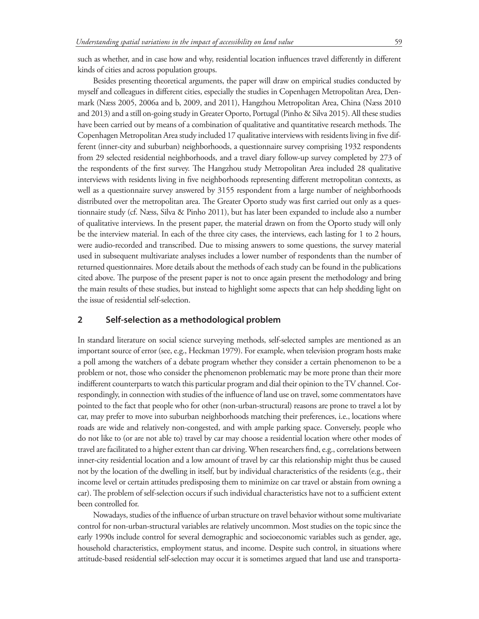such as whether, and in case how and why, residential location influences travel differently in different kinds of cities and across population groups.

Besides presenting theoretical arguments, the paper will draw on empirical studies conducted by myself and colleagues in different cities, especially the studies in Copenhagen Metropolitan Area, Denmark (Næss 2005, 2006a and b, 2009, and 2011), Hangzhou Metropolitan Area, China (Næss 2010 and 2013) and a still on-going study in Greater Oporto, Portugal (Pinho & Silva 2015). All these studies have been carried out by means of a combination of qualitative and quantitative research methods. The Copenhagen Metropolitan Area study included 17 qualitative interviews with residents living in five different (inner-city and suburban) neighborhoods, a questionnaire survey comprising 1932 respondents from 29 selected residential neighborhoods, and a travel diary follow-up survey completed by 273 of the respondents of the first survey. The Hangzhou study Metropolitan Area included 28 qualitative interviews with residents living in five neighborhoods representing different metropolitan contexts, as well as a questionnaire survey answered by 3155 respondent from a large number of neighborhoods distributed over the metropolitan area. The Greater Oporto study was first carried out only as a questionnaire study (cf. Næss, Silva & Pinho 2011), but has later been expanded to include also a number of qualitative interviews. In the present paper, the material drawn on from the Oporto study will only be the interview material. In each of the three city cases, the interviews, each lasting for 1 to 2 hours, were audio-recorded and transcribed. Due to missing answers to some questions, the survey material used in subsequent multivariate analyses includes a lower number of respondents than the number of returned questionnaires. More details about the methods of each study can be found in the publications cited above. The purpose of the present paper is not to once again present the methodology and bring the main results of these studies, but instead to highlight some aspects that can help shedding light on the issue of residential self-selection.

#### **2 Self-selection as a methodological problem**

In standard literature on social science surveying methods, self-selected samples are mentioned as an important source of error (see, e.g., Heckman 1979). For example, when television program hosts make a poll among the watchers of a debate program whether they consider a certain phenomenon to be a problem or not, those who consider the phenomenon problematic may be more prone than their more indifferent counterparts to watch this particular program and dial their opinion to the TV channel. Correspondingly, in connection with studies of the influence of land use on travel, some commentators have pointed to the fact that people who for other (non-urban-structural) reasons are prone to travel a lot by car, may prefer to move into suburban neighborhoods matching their preferences, i.e., locations where roads are wide and relatively non-congested, and with ample parking space. Conversely, people who do not like to (or are not able to) travel by car may choose a residential location where other modes of travel are facilitated to a higher extent than car driving. When researchers find, e.g., correlations between inner-city residential location and a low amount of travel by car this relationship might thus be caused not by the location of the dwelling in itself, but by individual characteristics of the residents (e.g., their income level or certain attitudes predisposing them to minimize on car travel or abstain from owning a car). The problem of self-selection occurs if such individual characteristics have not to a sufficient extent been controlled for.

Nowadays, studies of the influence of urban structure on travel behavior without some multivariate control for non-urban-structural variables are relatively uncommon. Most studies on the topic since the early 1990s include control for several demographic and socioeconomic variables such as gender, age, household characteristics, employment status, and income. Despite such control, in situations where attitude-based residential self-selection may occur it is sometimes argued that land use and transporta-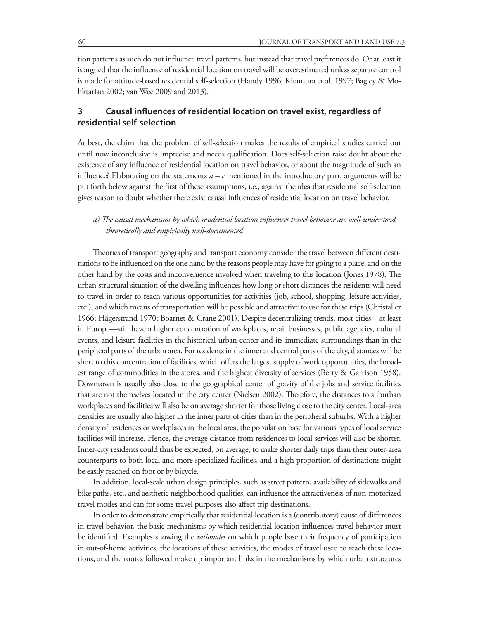tion patterns as such do not influence travel patterns, but instead that travel preferences do. Or at least it is argued that the influence of residential location on travel will be overestimated unless separate control is made for attitude-based residential self-selection (Handy 1996; Kitamura et al. 1997; Bagley & Mohktarian 2002; van Wee 2009 and 2013).

# **3 Causal influences of residential location on travel exist, regardless of residential self-selection**

At best, the claim that the problem of self-selection makes the results of empirical studies carried out until now inconclusive is imprecise and needs qualification. Does self-selection raise doubt about the existence of any influence of residential location on travel behavior, or about the magnitude of such an influence? Elaborating on the statements *a – c* mentioned in the introductory part, arguments will be put forth below against the first of these assumptions, i.e., against the idea that residential self-selection gives reason to doubt whether there exist causal influences of residential location on travel behavior.

## *a) The causal mechanisms by which residential location influences travel behavior are well-understood theoretically and empirically well-documented*

Theories of transport geography and transport economy consider the travel between different destinations to be influenced on the one hand by the reasons people may have for going to a place, and on the other hand by the costs and inconvenience involved when traveling to this location (Jones 1978). The urban structural situation of the dwelling influences how long or short distances the residents will need to travel in order to reach various opportunities for activities (job, school, shopping, leisure activities, etc.), and which means of transportation will be possible and attractive to use for these trips (Christaller 1966; Hägerstrand 1970; Boarnet & Crane 2001). Despite decentralizing trends, most cities—at least in Europe—still have a higher concentration of workplaces, retail businesses, public agencies, cultural events, and leisure facilities in the historical urban center and its immediate surroundings than in the peripheral parts of the urban area. For residents in the inner and central parts of the city, distances will be short to this concentration of facilities, which offers the largest supply of work opportunities, the broadest range of commodities in the stores, and the highest diversity of services (Berry & Garrison 1958). Downtown is usually also close to the geographical center of gravity of the jobs and service facilities that are not themselves located in the city center (Nielsen 2002). Therefore, the distances to suburban workplaces and facilities will also be on average shorter for those living close to the city center. Local-area densities are usually also higher in the inner parts of cities than in the peripheral suburbs. With a higher density of residences or workplaces in the local area, the population base for various types of local service facilities will increase. Hence, the average distance from residences to local services will also be shorter. Inner-city residents could thus be expected, on average, to make shorter daily trips than their outer-area counterparts to both local and more specialized facilities, and a high proportion of destinations might be easily reached on foot or by bicycle.

In addition, local-scale urban design principles, such as street pattern, availability of sidewalks and bike paths, etc., and aesthetic neighborhood qualities, can influence the attractiveness of non-motorized travel modes and can for some travel purposes also affect trip destinations.

In order to demonstrate empirically that residential location is a (contributory) cause of differences in travel behavior, the basic mechanisms by which residential location influences travel behavior must be identified. Examples showing the *rationales* on which people base their frequency of participation in out-of-home activities, the locations of these activities, the modes of travel used to reach these locations, and the routes followed make up important links in the mechanisms by which urban structures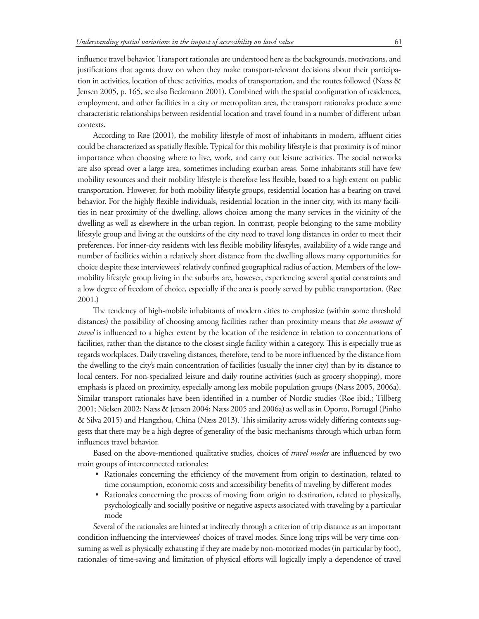influence travel behavior. Transport rationales are understood here as the backgrounds, motivations, and justifications that agents draw on when they make transport-relevant decisions about their participation in activities, location of these activities, modes of transportation, and the routes followed (Næss & Jensen 2005, p. 165, see also Beckmann 2001). Combined with the spatial configuration of residences, employment, and other facilities in a city or metropolitan area, the transport rationales produce some characteristic relationships between residential location and travel found in a number of different urban contexts.

According to Røe (2001), the mobility lifestyle of most of inhabitants in modern, affluent cities could be characterized as spatially flexible. Typical for this mobility lifestyle is that proximity is of minor importance when choosing where to live, work, and carry out leisure activities. The social networks are also spread over a large area, sometimes including exurban areas. Some inhabitants still have few mobility resources and their mobility lifestyle is therefore less flexible, based to a high extent on public transportation. However, for both mobility lifestyle groups, residential location has a bearing on travel behavior. For the highly flexible individuals, residential location in the inner city, with its many facilities in near proximity of the dwelling, allows choices among the many services in the vicinity of the dwelling as well as elsewhere in the urban region. In contrast, people belonging to the same mobility lifestyle group and living at the outskirts of the city need to travel long distances in order to meet their preferences. For inner-city residents with less flexible mobility lifestyles, availability of a wide range and number of facilities within a relatively short distance from the dwelling allows many opportunities for choice despite these interviewees' relatively confined geographical radius of action. Members of the lowmobility lifestyle group living in the suburbs are, however, experiencing several spatial constraints and a low degree of freedom of choice, especially if the area is poorly served by public transportation. (Røe 2001.)

The tendency of high-mobile inhabitants of modern cities to emphasize (within some threshold distances) the possibility of choosing among facilities rather than proximity means that *the amount of travel* is influenced to a higher extent by the location of the residence in relation to concentrations of facilities, rather than the distance to the closest single facility within a category. This is especially true as regards workplaces. Daily traveling distances, therefore, tend to be more influenced by the distance from the dwelling to the city's main concentration of facilities (usually the inner city) than by its distance to local centers. For non-specialized leisure and daily routine activities (such as grocery shopping), more emphasis is placed on proximity, especially among less mobile population groups (Næss 2005, 2006a). Similar transport rationales have been identified in a number of Nordic studies (Røe ibid.; Tillberg 2001; Nielsen 2002; Næss & Jensen 2004; Næss 2005 and 2006a) as well as in Oporto, Portugal (Pinho & Silva 2015) and Hangzhou, China (Næss 2013). This similarity across widely differing contexts suggests that there may be a high degree of generality of the basic mechanisms through which urban form influences travel behavior.

Based on the above-mentioned qualitative studies, choices of *travel modes* are influenced by two main groups of interconnected rationales:

- Rationales concerning the efficiency of the movement from origin to destination, related to time consumption, economic costs and accessibility benefits of traveling by different modes
- • Rationales concerning the process of moving from origin to destination, related to physically, psychologically and socially positive or negative aspects associated with traveling by a particular mode

Several of the rationales are hinted at indirectly through a criterion of trip distance as an important condition influencing the interviewees' choices of travel modes. Since long trips will be very time-consuming as well as physically exhausting if they are made by non-motorized modes (in particular by foot), rationales of time-saving and limitation of physical efforts will logically imply a dependence of travel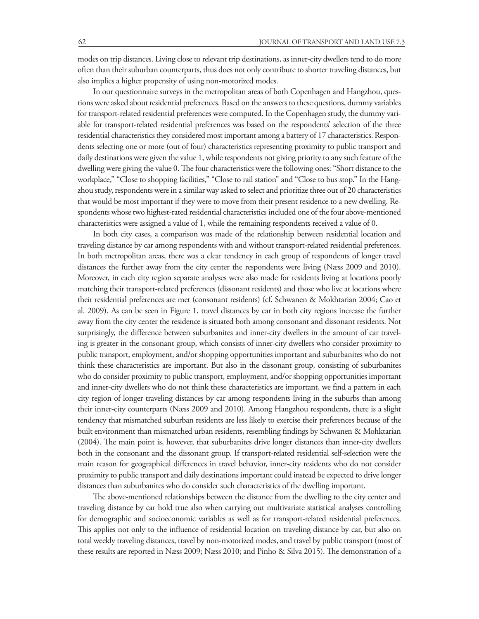modes on trip distances. Living close to relevant trip destinations, as inner-city dwellers tend to do more often than their suburban counterparts, thus does not only contribute to shorter traveling distances, but also implies a higher propensity of using non-motorized modes.

In our questionnaire surveys in the metropolitan areas of both Copenhagen and Hangzhou, questions were asked about residential preferences. Based on the answers to these questions, dummy variables for transport-related residential preferences were computed. In the Copenhagen study, the dummy variable for transport-related residential preferences was based on the respondents' selection of the three residential characteristics they considered most important among a battery of 17 characteristics. Respondents selecting one or more (out of four) characteristics representing proximity to public transport and daily destinations were given the value 1, while respondents not giving priority to any such feature of the dwelling were giving the value 0. The four characteristics were the following ones: "Short distance to the workplace," "Close to shopping facilities," "Close to rail station" and "Close to bus stop." In the Hangzhou study, respondents were in a similar way asked to select and prioritize three out of 20 characteristics that would be most important if they were to move from their present residence to a new dwelling. Respondents whose two highest-rated residential characteristics included one of the four above-mentioned characteristics were assigned a value of 1, while the remaining respondents received a value of 0.

In both city cases, a comparison was made of the relationship between residential location and traveling distance by car among respondents with and without transport-related residential preferences. In both metropolitan areas, there was a clear tendency in each group of respondents of longer travel distances the further away from the city center the respondents were living (Næss 2009 and 2010). Moreover, in each city region separate analyses were also made for residents living at locations poorly matching their transport-related preferences (dissonant residents) and those who live at locations where their residential preferences are met (consonant residents) (cf. Schwanen & Mokhtarian 2004; Cao et al. 2009). As can be seen in Figure 1, travel distances by car in both city regions increase the further away from the city center the residence is situated both among consonant and dissonant residents. Not surprisingly, the difference between suburbanites and inner-city dwellers in the amount of car traveling is greater in the consonant group, which consists of inner-city dwellers who consider proximity to public transport, employment, and/or shopping opportunities important and suburbanites who do not think these characteristics are important. But also in the dissonant group, consisting of suburbanites who do consider proximity to public transport, employment, and/or shopping opportunities important and inner-city dwellers who do not think these characteristics are important, we find a pattern in each city region of longer traveling distances by car among respondents living in the suburbs than among their inner-city counterparts (Næss 2009 and 2010). Among Hangzhou respondents, there is a slight tendency that mismatched suburban residents are less likely to exercise their preferences because of the built environment than mismatched urban residents, resembling findings by Schwanen & Mohktarian (2004). The main point is, however, that suburbanites drive longer distances than inner-city dwellers both in the consonant and the dissonant group. If transport-related residential self-selection were the main reason for geographical differences in travel behavior, inner-city residents who do not consider proximity to public transport and daily destinations important could instead be expected to drive longer distances than suburbanites who do consider such characteristics of the dwelling important.

The above-mentioned relationships between the distance from the dwelling to the city center and traveling distance by car hold true also when carrying out multivariate statistical analyses controlling for demographic and socioeconomic variables as well as for transport-related residential preferences. This applies not only to the influence of residential location on traveling distance by car, but also on total weekly traveling distances, travel by non-motorized modes, and travel by public transport (most of these results are reported in Næss 2009; Næss 2010; and Pinho & Silva 2015). The demonstration of a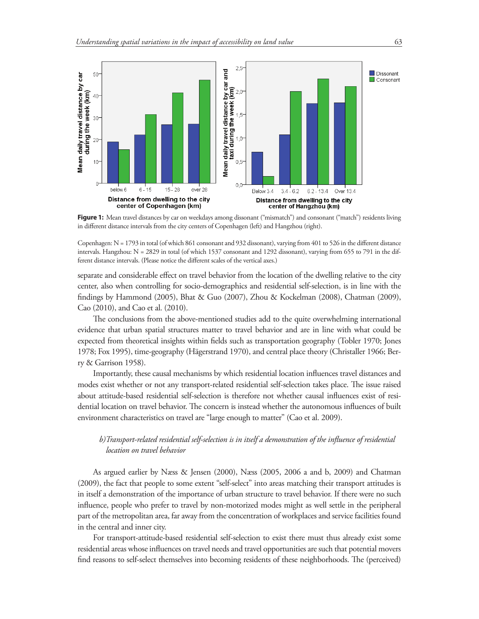

Figure 1: Mean travel distances by car on weekdays among dissonant ("mismatch") and consonant ("match") residents living in different distance intervals from the city centers of Copenhagen (left) and Hangzhou (right).

Copenhagen: N = 1793 in total (of which 861 consonant and 932 dissonant), varying from 401 to 526 in the different distance intervals. Hangzhou: N = 2829 in total (of which 1537 consonant and 1292 dissonant), varying from 655 to 791 in the different distance intervals. (Please notice the different scales of the vertical axes.)

separate and considerable effect on travel behavior from the location of the dwelling relative to the city center, also when controlling for socio-demographics and residential self-selection, is in line with the findings by Hammond (2005), Bhat & Guo (2007), Zhou & Kockelman (2008), Chatman (2009), Cao (2010), and Cao et al. (2010).

The conclusions from the above-mentioned studies add to the quite overwhelming international evidence that urban spatial structures matter to travel behavior and are in line with what could be expected from theoretical insights within fields such as transportation geography (Tobler 1970; Jones 1978; Fox 1995), time-geography (Hägerstrand 1970), and central place theory (Christaller 1966; Berry & Garrison 1958).

Importantly, these causal mechanisms by which residential location influences travel distances and modes exist whether or not any transport-related residential self-selection takes place. The issue raised about attitude-based residential self-selection is therefore not whether causal influences exist of residential location on travel behavior. The concern is instead whether the autonomous influences of built environment characteristics on travel are "large enough to matter" (Cao et al. 2009).

## *b)Transport-related residential self-selection is in itself a demonstration of the influence of residential location on travel behavior*

As argued earlier by Næss & Jensen (2000), Næss (2005, 2006 a and b, 2009) and Chatman (2009), the fact that people to some extent "self-select" into areas matching their transport attitudes is in itself a demonstration of the importance of urban structure to travel behavior. If there were no such influence, people who prefer to travel by non-motorized modes might as well settle in the peripheral part of the metropolitan area, far away from the concentration of workplaces and service facilities found in the central and inner city.

For transport-attitude-based residential self-selection to exist there must thus already exist some residential areas whose influences on travel needs and travel opportunities are such that potential movers find reasons to self-select themselves into becoming residents of these neighborhoods. The (perceived)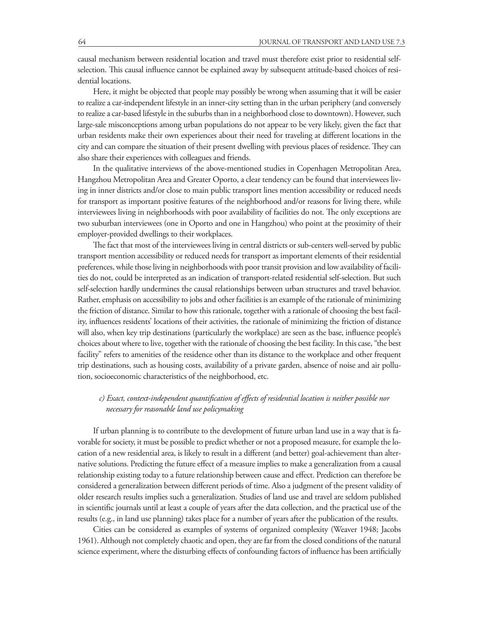causal mechanism between residential location and travel must therefore exist prior to residential selfselection. This causal influence cannot be explained away by subsequent attitude-based choices of residential locations.

Here, it might be objected that people may possibly be wrong when assuming that it will be easier to realize a car-independent lifestyle in an inner-city setting than in the urban periphery (and conversely to realize a car-based lifestyle in the suburbs than in a neighborhood close to downtown). However, such large-sale misconceptions among urban populations do not appear to be very likely, given the fact that urban residents make their own experiences about their need for traveling at different locations in the city and can compare the situation of their present dwelling with previous places of residence. They can also share their experiences with colleagues and friends.

In the qualitative interviews of the above-mentioned studies in Copenhagen Metropolitan Area, Hangzhou Metropolitan Area and Greater Oporto, a clear tendency can be found that interviewees living in inner districts and/or close to main public transport lines mention accessibility or reduced needs for transport as important positive features of the neighborhood and/or reasons for living there, while interviewees living in neighborhoods with poor availability of facilities do not. The only exceptions are two suburban interviewees (one in Oporto and one in Hangzhou) who point at the proximity of their employer-provided dwellings to their workplaces.

The fact that most of the interviewees living in central districts or sub-centers well-served by public transport mention accessibility or reduced needs for transport as important elements of their residential preferences, while those living in neighborhoods with poor transit provision and low availability of facilities do not, could be interpreted as an indication of transport-related residential self-selection. But such self-selection hardly undermines the causal relationships between urban structures and travel behavior. Rather, emphasis on accessibility to jobs and other facilities is an example of the rationale of minimizing the friction of distance. Similar to how this rationale, together with a rationale of choosing the best facility, influences residents' locations of their activities, the rationale of minimizing the friction of distance will also, when key trip destinations (particularly the workplace) are seen as the base, influence people's choices about where to live, together with the rationale of choosing the best facility. In this case, "the best facility" refers to amenities of the residence other than its distance to the workplace and other frequent trip destinations, such as housing costs, availability of a private garden, absence of noise and air pollution, socioeconomic characteristics of the neighborhood, etc.

## *c) Exact, context-independent quantification of effects of residential location is neither possible nor necessary for reasonable land use policymaking*

If urban planning is to contribute to the development of future urban land use in a way that is favorable for society, it must be possible to predict whether or not a proposed measure, for example the location of a new residential area, is likely to result in a different (and better) goal-achievement than alternative solutions. Predicting the future effect of a measure implies to make a generalization from a causal relationship existing today to a future relationship between cause and effect. Prediction can therefore be considered a generalization between different periods of time. Also a judgment of the present validity of older research results implies such a generalization. Studies of land use and travel are seldom published in scientific journals until at least a couple of years after the data collection, and the practical use of the results (e.g., in land use planning) takes place for a number of years after the publication of the results.

Cities can be considered as examples of systems of organized complexity (Weaver 1948; Jacobs 1961). Although not completely chaotic and open, they are far from the closed conditions of the natural science experiment, where the disturbing effects of confounding factors of influence has been artificially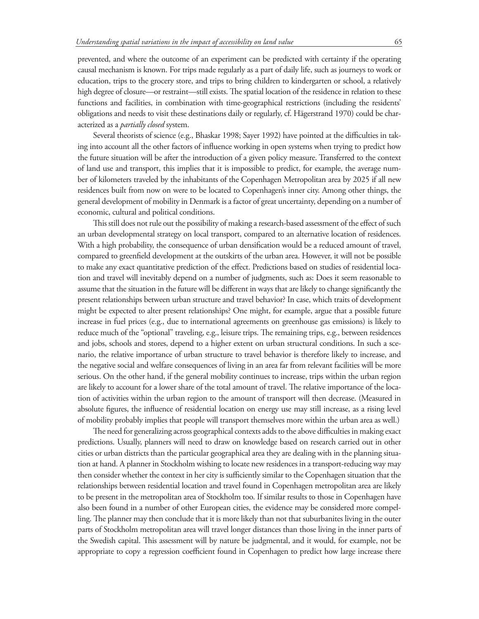prevented, and where the outcome of an experiment can be predicted with certainty if the operating causal mechanism is known. For trips made regularly as a part of daily life, such as journeys to work or education, trips to the grocery store, and trips to bring children to kindergarten or school, a relatively high degree of closure—or restraint—still exists. The spatial location of the residence in relation to these functions and facilities, in combination with time-geographical restrictions (including the residents' obligations and needs to visit these destinations daily or regularly, cf. Hägerstrand 1970) could be characterized as a *partially closed* system.

Several theorists of science (e.g., Bhaskar 1998; Sayer 1992) have pointed at the difficulties in taking into account all the other factors of influence working in open systems when trying to predict how the future situation will be after the introduction of a given policy measure. Transferred to the context of land use and transport, this implies that it is impossible to predict, for example, the average number of kilometers traveled by the inhabitants of the Copenhagen Metropolitan area by 2025 if all new residences built from now on were to be located to Copenhagen's inner city. Among other things, the general development of mobility in Denmark is a factor of great uncertainty, depending on a number of economic, cultural and political conditions.

This still does not rule out the possibility of making a research-based assessment of the effect of such an urban developmental strategy on local transport, compared to an alternative location of residences. With a high probability, the consequence of urban densification would be a reduced amount of travel, compared to greenfield development at the outskirts of the urban area. However, it will not be possible to make any exact quantitative prediction of the effect. Predictions based on studies of residential location and travel will inevitably depend on a number of judgments, such as: Does it seem reasonable to assume that the situation in the future will be different in ways that are likely to change significantly the present relationships between urban structure and travel behavior? In case, which traits of development might be expected to alter present relationships? One might, for example, argue that a possible future increase in fuel prices (e.g., due to international agreements on greenhouse gas emissions) is likely to reduce much of the "optional" traveling, e.g., leisure trips. The remaining trips, e.g., between residences and jobs, schools and stores, depend to a higher extent on urban structural conditions. In such a scenario, the relative importance of urban structure to travel behavior is therefore likely to increase, and the negative social and welfare consequences of living in an area far from relevant facilities will be more serious. On the other hand, if the general mobility continues to increase, trips within the urban region are likely to account for a lower share of the total amount of travel. The relative importance of the location of activities within the urban region to the amount of transport will then decrease. (Measured in absolute figures, the influence of residential location on energy use may still increase, as a rising level of mobility probably implies that people will transport themselves more within the urban area as well.)

The need for generalizing across geographical contexts adds to the above difficulties in making exact predictions. Usually, planners will need to draw on knowledge based on research carried out in other cities or urban districts than the particular geographical area they are dealing with in the planning situation at hand. A planner in Stockholm wishing to locate new residences in a transport-reducing way may then consider whether the context in her city is sufficiently similar to the Copenhagen situation that the relationships between residential location and travel found in Copenhagen metropolitan area are likely to be present in the metropolitan area of Stockholm too. If similar results to those in Copenhagen have also been found in a number of other European cities, the evidence may be considered more compelling. The planner may then conclude that it is more likely than not that suburbanites living in the outer parts of Stockholm metropolitan area will travel longer distances than those living in the inner parts of the Swedish capital. This assessment will by nature be judgmental, and it would, for example, not be appropriate to copy a regression coefficient found in Copenhagen to predict how large increase there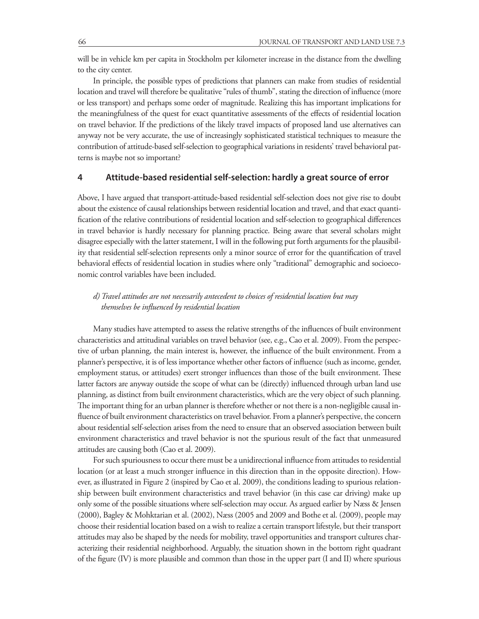will be in vehicle km per capita in Stockholm per kilometer increase in the distance from the dwelling to the city center.

In principle, the possible types of predictions that planners can make from studies of residential location and travel will therefore be qualitative "rules of thumb", stating the direction of influence (more or less transport) and perhaps some order of magnitude. Realizing this has important implications for the meaningfulness of the quest for exact quantitative assessments of the effects of residential location on travel behavior. If the predictions of the likely travel impacts of proposed land use alternatives can anyway not be very accurate, the use of increasingly sophisticated statistical techniques to measure the contribution of attitude-based self-selection to geographical variations in residents' travel behavioral patterns is maybe not so important?

#### **4 Attitude-based residential self-selection: hardly a great source of error**

Above, I have argued that transport-attitude-based residential self-selection does not give rise to doubt about the existence of causal relationships between residential location and travel, and that exact quantification of the relative contributions of residential location and self-selection to geographical differences in travel behavior is hardly necessary for planning practice. Being aware that several scholars might disagree especially with the latter statement, I will in the following put forth arguments for the plausibility that residential self-selection represents only a minor source of error for the quantification of travel behavioral effects of residential location in studies where only "traditional" demographic and socioeconomic control variables have been included.

## *d) Travel attitudes are not necessarily antecedent to choices of residential location but may themselves be influenced by residential location*

Many studies have attempted to assess the relative strengths of the influences of built environment characteristics and attitudinal variables on travel behavior (see, e.g., Cao et al. 2009). From the perspective of urban planning, the main interest is, however, the influence of the built environment. From a planner's perspective, it is of less importance whether other factors of influence (such as income, gender, employment status, or attitudes) exert stronger influences than those of the built environment. These latter factors are anyway outside the scope of what can be (directly) influenced through urban land use planning, as distinct from built environment characteristics, which are the very object of such planning. The important thing for an urban planner is therefore whether or not there is a non-negligible causal influence of built environment characteristics on travel behavior. From a planner's perspective, the concern about residential self-selection arises from the need to ensure that an observed association between built environment characteristics and travel behavior is not the spurious result of the fact that unmeasured attitudes are causing both (Cao et al. 2009).

For such spuriousness to occur there must be a unidirectional influence from attitudes to residential location (or at least a much stronger influence in this direction than in the opposite direction). However, as illustrated in Figure 2 (inspired by Cao et al. 2009), the conditions leading to spurious relationship between built environment characteristics and travel behavior (in this case car driving) make up only some of the possible situations where self-selection may occur. As argued earlier by Næss & Jensen (2000), Bagley & Mohktarian et al. (2002), Næss (2005 and 2009 and Bothe et al. (2009), people may choose their residential location based on a wish to realize a certain transport lifestyle, but their transport attitudes may also be shaped by the needs for mobility, travel opportunities and transport cultures characterizing their residential neighborhood. Arguably, the situation shown in the bottom right quadrant of the figure (IV) is more plausible and common than those in the upper part (I and II) where spurious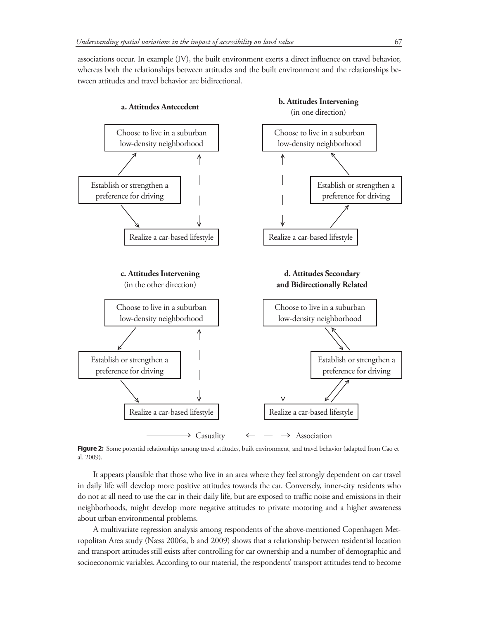associations occur. In example (IV), the built environment exerts a direct influence on travel behavior, whereas both the relationships between attitudes and the built environment and the relationships between attitudes and travel behavior are bidirectional.



Figure 2: Some potential relationships among travel attitudes, built environment, and travel behavior (adapted from Cao et al. 2009).

It appears plausible that those who live in an area where they feel strongly dependent on car travel in daily life will develop more positive attitudes towards the car. Conversely, inner-city residents who do not at all need to use the car in their daily life, but are exposed to traffic noise and emissions in their neighborhoods, might develop more negative attitudes to private motoring and a higher awareness about urban environmental problems.

A multivariate regression analysis among respondents of the above-mentioned Copenhagen Metropolitan Area study (Næss 2006a, b and 2009) shows that a relationship between residential location and transport attitudes still exists after controlling for car ownership and a number of demographic and socioeconomic variables. According to our material, the respondents' transport attitudes tend to become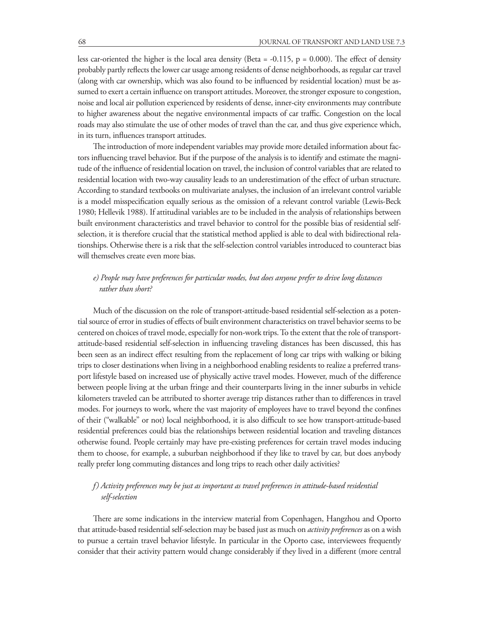less car-oriented the higher is the local area density (Beta = -0.115, p = 0.000). The effect of density probably partly reflects the lower car usage among residents of dense neighborhoods, as regular car travel (along with car ownership, which was also found to be influenced by residential location) must be assumed to exert a certain influence on transport attitudes. Moreover, the stronger exposure to congestion, noise and local air pollution experienced by residents of dense, inner-city environments may contribute to higher awareness about the negative environmental impacts of car traffic. Congestion on the local roads may also stimulate the use of other modes of travel than the car, and thus give experience which, in its turn, influences transport attitudes.

The introduction of more independent variables may provide more detailed information about factors influencing travel behavior. But if the purpose of the analysis is to identify and estimate the magnitude of the influence of residential location on travel, the inclusion of control variables that are related to residential location with two-way causality leads to an underestimation of the effect of urban structure. According to standard textbooks on multivariate analyses, the inclusion of an irrelevant control variable is a model misspecification equally serious as the omission of a relevant control variable (Lewis-Beck 1980; Hellevik 1988). If attitudinal variables are to be included in the analysis of relationships between built environment characteristics and travel behavior to control for the possible bias of residential selfselection, it is therefore crucial that the statistical method applied is able to deal with bidirectional relationships. Otherwise there is a risk that the self-selection control variables introduced to counteract bias will themselves create even more bias.

## *e) People may have preferences for particular modes, but does anyone prefer to drive long distances rather than short?*

Much of the discussion on the role of transport-attitude-based residential self-selection as a potential source of error in studies of effects of built environment characteristics on travel behavior seems to be centered on choices of travel mode, especially for non-work trips. To the extent that the role of transportattitude-based residential self-selection in influencing traveling distances has been discussed, this has been seen as an indirect effect resulting from the replacement of long car trips with walking or biking trips to closer destinations when living in a neighborhood enabling residents to realize a preferred transport lifestyle based on increased use of physically active travel modes. However, much of the difference between people living at the urban fringe and their counterparts living in the inner suburbs in vehicle kilometers traveled can be attributed to shorter average trip distances rather than to differences in travel modes. For journeys to work, where the vast majority of employees have to travel beyond the confines of their ("walkable" or not) local neighborhood, it is also difficult to see how transport-attitude-based residential preferences could bias the relationships between residential location and traveling distances otherwise found. People certainly may have pre-existing preferences for certain travel modes inducing them to choose, for example, a suburban neighborhood if they like to travel by car, but does anybody really prefer long commuting distances and long trips to reach other daily activities?

## *f) Activity preferences may be just as important as travel preferences in attitude-based residential self-selection*

There are some indications in the interview material from Copenhagen, Hangzhou and Oporto that attitude-based residential self-selection may be based just as much on *activity preferences* as on a wish to pursue a certain travel behavior lifestyle. In particular in the Oporto case, interviewees frequently consider that their activity pattern would change considerably if they lived in a different (more central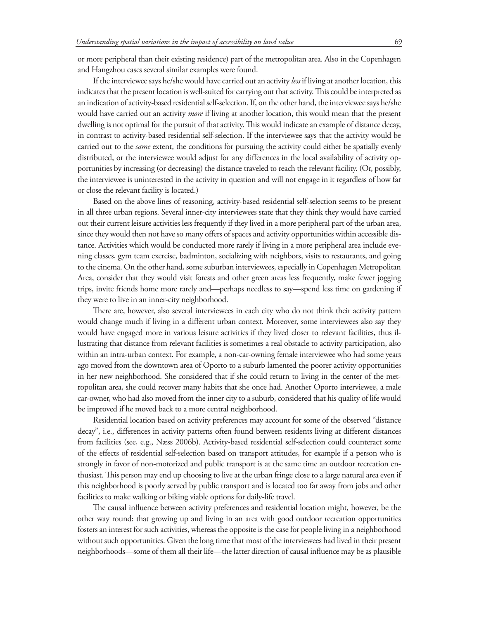or more peripheral than their existing residence) part of the metropolitan area. Also in the Copenhagen and Hangzhou cases several similar examples were found.

If the interviewee says he/she would have carried out an activity *less* if living at another location, this indicates that the present location is well-suited for carrying out that activity. This could be interpreted as an indication of activity-based residential self-selection. If, on the other hand, the interviewee says he/she would have carried out an activity *more* if living at another location, this would mean that the present dwelling is not optimal for the pursuit of that activity. This would indicate an example of distance decay, in contrast to activity-based residential self-selection. If the interviewee says that the activity would be carried out to the *same* extent, the conditions for pursuing the activity could either be spatially evenly distributed, or the interviewee would adjust for any differences in the local availability of activity opportunities by increasing (or decreasing) the distance traveled to reach the relevant facility. (Or, possibly, the interviewee is uninterested in the activity in question and will not engage in it regardless of how far or close the relevant facility is located.)

Based on the above lines of reasoning, activity-based residential self-selection seems to be present in all three urban regions. Several inner-city interviewees state that they think they would have carried out their current leisure activities less frequently if they lived in a more peripheral part of the urban area, since they would then not have so many offers of spaces and activity opportunities within accessible distance. Activities which would be conducted more rarely if living in a more peripheral area include evening classes, gym team exercise, badminton, socializing with neighbors, visits to restaurants, and going to the cinema. On the other hand, some suburban interviewees, especially in Copenhagen Metropolitan Area, consider that they would visit forests and other green areas less frequently, make fewer jogging trips, invite friends home more rarely and—perhaps needless to say—spend less time on gardening if they were to live in an inner-city neighborhood.

There are, however, also several interviewees in each city who do not think their activity pattern would change much if living in a different urban context. Moreover, some interviewees also say they would have engaged more in various leisure activities if they lived closer to relevant facilities, thus illustrating that distance from relevant facilities is sometimes a real obstacle to activity participation, also within an intra-urban context. For example, a non-car-owning female interviewee who had some years ago moved from the downtown area of Oporto to a suburb lamented the poorer activity opportunities in her new neighborhood. She considered that if she could return to living in the center of the metropolitan area, she could recover many habits that she once had. Another Oporto interviewee, a male car-owner, who had also moved from the inner city to a suburb, considered that his quality of life would be improved if he moved back to a more central neighborhood.

Residential location based on activity preferences may account for some of the observed "distance decay", i.e., differences in activity patterns often found between residents living at different distances from facilities (see, e.g., Næss 2006b). Activity-based residential self-selection could counteract some of the effects of residential self-selection based on transport attitudes, for example if a person who is strongly in favor of non-motorized and public transport is at the same time an outdoor recreation enthusiast. This person may end up choosing to live at the urban fringe close to a large natural area even if this neighborhood is poorly served by public transport and is located too far away from jobs and other facilities to make walking or biking viable options for daily-life travel.

The causal influence between activity preferences and residential location might, however, be the other way round: that growing up and living in an area with good outdoor recreation opportunities fosters an interest for such activities, whereas the opposite is the case for people living in a neighborhood without such opportunities. Given the long time that most of the interviewees had lived in their present neighborhoods—some of them all their life—the latter direction of causal influence may be as plausible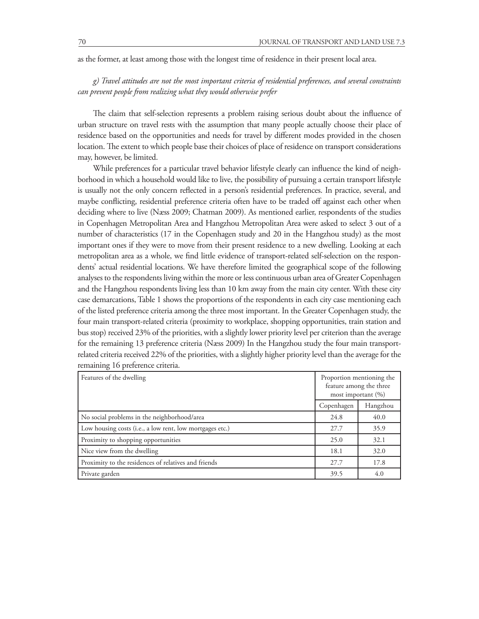as the former, at least among those with the longest time of residence in their present local area.

*g) Travel attitudes are not the most important criteria of residential preferences, and several constraints can prevent people from realizing what they would otherwise prefer*

The claim that self-selection represents a problem raising serious doubt about the influence of urban structure on travel rests with the assumption that many people actually choose their place of residence based on the opportunities and needs for travel by different modes provided in the chosen location. The extent to which people base their choices of place of residence on transport considerations may, however, be limited.

While preferences for a particular travel behavior lifestyle clearly can influence the kind of neighborhood in which a household would like to live, the possibility of pursuing a certain transport lifestyle is usually not the only concern reflected in a person's residential preferences. In practice, several, and maybe conflicting, residential preference criteria often have to be traded off against each other when deciding where to live (Næss 2009; Chatman 2009). As mentioned earlier, respondents of the studies in Copenhagen Metropolitan Area and Hangzhou Metropolitan Area were asked to select 3 out of a number of characteristics (17 in the Copenhagen study and 20 in the Hangzhou study) as the most important ones if they were to move from their present residence to a new dwelling. Looking at each metropolitan area as a whole, we find little evidence of transport-related self-selection on the respondents' actual residential locations. We have therefore limited the geographical scope of the following analyses to the respondents living within the more or less continuous urban area of Greater Copenhagen and the Hangzhou respondents living less than 10 km away from the main city center. With these city case demarcations, Table 1 shows the proportions of the respondents in each city case mentioning each of the listed preference criteria among the three most important. In the Greater Copenhagen study, the four main transport-related criteria (proximity to workplace, shopping opportunities, train station and bus stop) received 23% of the priorities, with a slightly lower priority level per criterion than the average for the remaining 13 preference criteria (Næss 2009) In the Hangzhou study the four main transportrelated criteria received 22% of the priorities, with a slightly higher priority level than the average for the remaining 16 preference criteria.

| Features of the dwelling                                 | Proportion mentioning the<br>feature among the three<br>most important $(\%)$ |          |
|----------------------------------------------------------|-------------------------------------------------------------------------------|----------|
|                                                          | Copenhagen                                                                    | Hangzhou |
| No social problems in the neighborhood/area              | 24.8                                                                          | 40.0     |
| Low housing costs (i.e., a low rent, low mortgages etc.) | 27.7                                                                          | 35.9     |
| Proximity to shopping opportunities                      | 25.0                                                                          | 32.1     |
| Nice view from the dwelling                              | 18.1                                                                          | 32.0     |
| Proximity to the residences of relatives and friends     | 27.7                                                                          | 17.8     |
| Private garden                                           | 39.5                                                                          | 4.0      |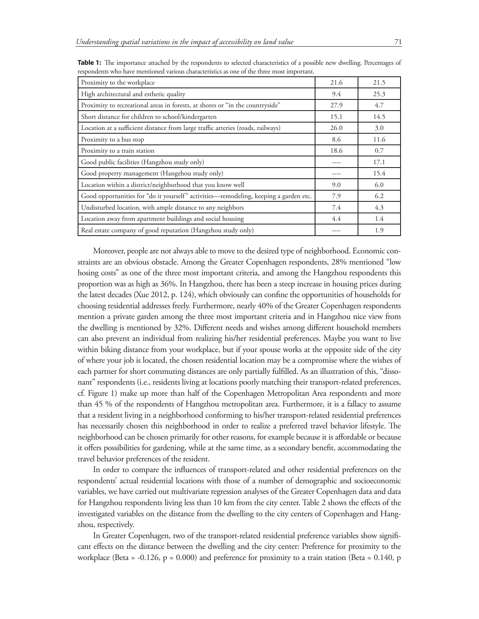| Proximity to the workplace                                                           | 21.6 | 21.5 |
|--------------------------------------------------------------------------------------|------|------|
| High architectural and esthetic quality                                              | 9.4  | 25.3 |
| Proximity to recreational areas in forests, at shores or "in the countryside"        | 27.9 | 4.7  |
| Short distance for children to school/kindergarten                                   | 15.1 | 14.5 |
| Location at a sufficient distance from large traffic arteries (roads, railways)      | 26.0 | 3.0  |
| Proximity to a bus stop                                                              | 8.6  | 11.6 |
| Proximity to a train station                                                         | 18.6 | 0.7  |
| Good public facilities (Hangzhou study only)                                         | ---- | 17.1 |
| Good property management (Hangzhou study only)                                       | ---- | 15.4 |
| Location within a district/neighborhood that you know well                           | 9.0  | 6.0  |
| Good opportunities for "do it yourself" activities—remodeling, keeping a garden etc. | 7.9  | 6.2  |
| Undisturbed location, with ample distance to any neighbors                           | 7.4  | 4.3  |
| Location away from apartment buildings and social housing                            | 4.4  | 1.4  |
| Real estate company of good reputation (Hangzhou study only)                         | ---- | 1.9  |

**Table 1:** The importance attached by the respondents to selected characteristics of a possible new dwelling. Percentages of respondents who have mentioned various characteristics as one of the three most important.

Moreover, people are not always able to move to the desired type of neighborhood. Economic constraints are an obvious obstacle. Among the Greater Copenhagen respondents, 28% mentioned "low hosing costs" as one of the three most important criteria, and among the Hangzhou respondents this proportion was as high as 36%. In Hangzhou, there has been a steep increase in housing prices during the latest decades (Xue 2012, p. 124), which obviously can confine the opportunities of households for choosing residential addresses freely. Furthermore, nearly 40% of the Greater Copenhagen respondents mention a private garden among the three most important criteria and in Hangzhou nice view from the dwelling is mentioned by 32%. Different needs and wishes among different household members can also prevent an individual from realizing his/her residential preferences. Maybe you want to live within biking distance from your workplace, but if your spouse works at the opposite side of the city of where your job is located, the chosen residential location may be a compromise where the wishes of each partner for short commuting distances are only partially fulfilled. As an illustration of this, "dissonant" respondents (i.e., residents living at locations poorly matching their transport-related preferences, cf. Figure 1) make up more than half of the Copenhagen Metropolitan Area respondents and more than 45 % of the respondents of Hangzhou metropolitan area. Furthermore, it is a fallacy to assume that a resident living in a neighborhood conforming to his/her transport-related residential preferences has necessarily chosen this neighborhood in order to realize a preferred travel behavior lifestyle. The neighborhood can be chosen primarily for other reasons, for example because it is affordable or because it offers possibilities for gardening, while at the same time, as a secondary benefit, accommodating the travel behavior preferences of the resident.

In order to compare the influences of transport-related and other residential preferences on the respondents' actual residential locations with those of a number of demographic and socioeconomic variables, we have carried out multivariate regression analyses of the Greater Copenhagen data and data for Hangzhou respondents living less than 10 km from the city center. Table 2 shows the effects of the investigated variables on the distance from the dwelling to the city centers of Copenhagen and Hangzhou, respectively.

In Greater Copenhagen, two of the transport-related residential preference variables show significant effects on the distance between the dwelling and the city center: Preference for proximity to the workplace (Beta = -0.126,  $p = 0.000$ ) and preference for proximity to a train station (Beta = 0.140, p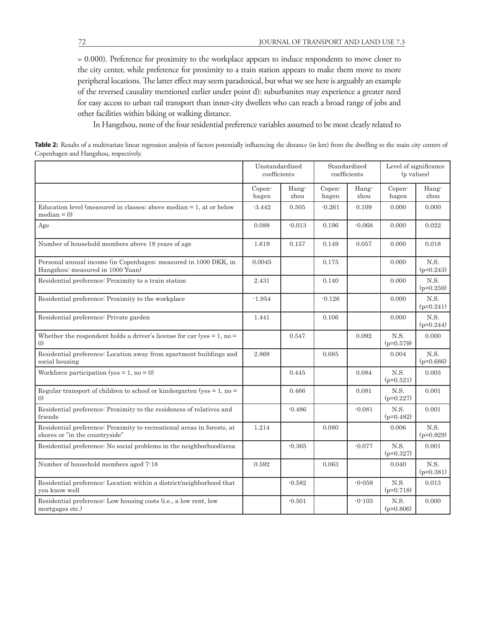= 0.000). Preference for proximity to the workplace appears to induce respondents to move closer to the city center, while preference for proximity to a train station appears to make them move to more peripheral locations. The latter effect may seem paradoxical, but what we see here is arguably an example of the reversed causality mentioned earlier under point d): suburbanites may experience a greater need for easy access to urban rail transport than inner-city dwellers who can reach a broad range of jobs and other facilities within biking or walking distance.

In Hangzhou, none of the four residential preference variables assumed to be most clearly related to

Table 2: Results of a multivariate linear regression analysis of factors potentially influencing the distance (in km) from the dwelling to the main city centers of Copenhagen and Hangzhou, respectively.

|                                                                                                          | Unstandardized<br>coefficients |               | Standardized<br>coefficients |               | Level of significance<br>(p values) |                     |
|----------------------------------------------------------------------------------------------------------|--------------------------------|---------------|------------------------------|---------------|-------------------------------------|---------------------|
|                                                                                                          | Copen-<br>hagen                | Hang-<br>zhou | Copen-<br>hagen              | Hang-<br>zhou | Copen-<br>hagen                     | Hang-<br>zhou       |
| Education level (measured in classes; above median $= 1$ , at or below<br>$median = 0$                   | $-3.442$                       | 0.505         | $-0.261$                     | 0.109         | 0.000                               | 0.000               |
| Age                                                                                                      | 0.088                          | $-0.013$      | 0.196                        | $-0.068$      | 0.000                               | 0.022               |
| Number of household members above 18 years of age                                                        | 1.619                          | 0.157         | 0.149                        | 0.057         | 0.000                               | 0.018               |
| Personal annual income (in Copenhagen: measured in 1000 DKK, in<br>Hangzhou: measured in 1000 Yuan)      | 0.0045                         |               | 0.175                        |               | 0.000                               | N.S.<br>$(p=0.243)$ |
| Residential preference: Proximity to a train station                                                     | 2.431                          |               | 0.140                        |               | 0.000                               | N.S.<br>$(p=0.259)$ |
| Residential preference: Proximity to the workplace                                                       | $-1.954$                       |               | $-0.126$                     |               | 0.000                               | N.S.<br>$(p=0.241)$ |
| Residential preference: Private garden                                                                   | 1.441                          |               | 0.106                        |               | 0.000                               | N.S.<br>$(p=0.244)$ |
| Whether the respondent holds a driver's license for car (yes $= 1$ , no $=$<br>$\left( 0\right)$         |                                | 0.547         |                              | 0.092         | N.S.<br>$(p=0.579)$                 | 0.000               |
| Residential preference: Location away from apartment buildings and<br>social housing                     | 2.868                          |               | 0.085                        |               | 0.004                               | N.S.<br>$(p=0.686)$ |
| Workforce participation (yes = $1$ , no = 0)                                                             |                                | 0.445         |                              | 0.084         | N.S.<br>$(p=0.521)$                 | 0.003               |
| Regular transport of children to school or kindergarten (yes $= 1$ , no $=$<br>$\left( 0\right)$         |                                | 0.466         |                              | 0.081         | N.S.<br>$(p=0.227)$                 | 0.001               |
| Residential preference: Proximity to the residences of relatives and<br>friends                          |                                | $-0.486$      |                              | $-0.081$      | N.S.<br>$(p=0.482)$                 | 0.001               |
| Residential preference: Proximity to recreational areas in forests, at<br>shores or "in the countryside" | 1.214                          |               | 0.080                        |               | 0.006                               | N.S.<br>$(p=0.929)$ |
| Residential preference: No social problems in the neighborhood/area                                      |                                | $-0.365$      |                              | $-0.077$      | N.S.<br>$(p=0.327)$                 | 0.001               |
| Number of household members aged 7-18                                                                    | 0.592                          |               | 0.063                        |               | 0.040                               | N.S.<br>$(p=0.381)$ |
| Residential preference: Location within a district/neighborhood that<br>you know well                    |                                | $-0.582$      |                              | $-0.059$      | N.S.<br>$(p=0.718)$                 | 0.013               |
| Residential preference: Low housing costs (i.e., a low rent, low<br>mortgages etc.)                      |                                | $-0.501$      |                              | $-0.103$      | N.S.<br>$(p=0.806)$                 | 0.000               |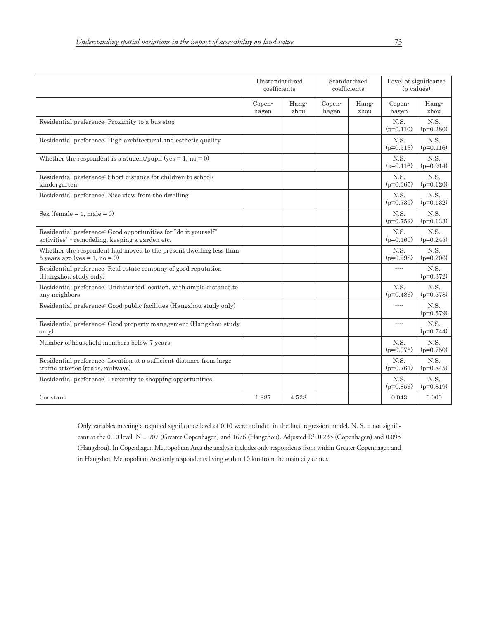|                                                                                                                  | Unstandardized<br>coefficients |               | Standardized<br>coefficients |               | Level of significance<br>(p values) |                     |
|------------------------------------------------------------------------------------------------------------------|--------------------------------|---------------|------------------------------|---------------|-------------------------------------|---------------------|
|                                                                                                                  | Copen-<br>hagen                | Hang-<br>zhou | Copen-<br>hagen              | Hang-<br>zhou | Copen-<br>hagen                     | Hang-<br>zhou       |
| Residential preference: Proximity to a bus stop                                                                  |                                |               |                              |               | N.S.<br>$(p=0.110)$                 | N.S.<br>$(p=0.280)$ |
| Residential preference: High architectural and esthetic quality                                                  |                                |               |                              |               | N.S.<br>$(p=0.513)$                 | N.S.<br>$(p=0.116)$ |
| Whether the respondent is a student/pupil (yes = 1, no = 0)                                                      |                                |               |                              |               | N.S.<br>$(p=0.116)$                 | N.S.<br>$(p=0.914)$ |
| Residential preference: Short distance for children to school/<br>kindergarten                                   |                                |               |                              |               | N.S.<br>$(p=0.365)$                 | N.S.<br>$(p=0.120)$ |
| Residential preference: Nice view from the dwelling                                                              |                                |               |                              |               | N.S.<br>$(p=0.739)$                 | N.S.<br>$(p=0.132)$ |
| Sex (female = 1, male = 0)                                                                                       |                                |               |                              |               | N.S.<br>$(p=0.752)$                 | N.S.<br>$(p=0.133)$ |
| Residential preference: Good opportunities for "do it yourself"<br>activities' remodeling, keeping a garden etc. |                                |               |                              |               | N.S.<br>$(p=0.160)$                 | N.S.<br>$(p=0.245)$ |
| Whether the respondent had moved to the present dwelling less than<br>$5 \text{ years ago (yes} = 1, no = 0)$    |                                |               |                              |               | N.S.<br>$(p=0.298)$                 | N.S.<br>$(p=0.206)$ |
| Residential preference: Real estate company of good reputation<br>(Hangzhou study only)                          |                                |               |                              |               |                                     | N.S.<br>$(p=0.372)$ |
| Residential preference: Undisturbed location, with ample distance to<br>any neighbors                            |                                |               |                              |               | N.S.<br>$(p=0.486)$                 | N.S.<br>$(p=0.578)$ |
| Residential preference: Good public facilities (Hangzhou study only)                                             |                                |               |                              |               | ----                                | N.S.<br>$(p=0.579)$ |
| Residential preference: Good property management (Hangzhou study<br>only)                                        |                                |               |                              |               | ----                                | N.S.<br>$(p=0.744)$ |
| Number of household members below 7 years                                                                        |                                |               |                              |               | N.S.<br>$(p=0.975)$                 | N.S.<br>$(p=0.750)$ |
| Residential preference: Location at a sufficient distance from large<br>traffic arteries (roads, railways)       |                                |               |                              |               | N.S.<br>$(p=0.761)$                 | N.S.<br>$(p=0.845)$ |
| Residential preference: Proximity to shopping opportunities                                                      |                                |               |                              |               | N.S.<br>$(p=0.856)$                 | N.S.<br>$(p=0.819)$ |
| Constant                                                                                                         | 1.887                          | 4.528         |                              |               | 0.043                               | 0.000               |

Only variables meeting a required significance level of 0.10 were included in the final regression model. N. S. = not significant at the 0.10 level. N = 907 (Greater Copenhagen) and 1676 (Hangzhou). Adjusted R<sup>2</sup>: 0.233 (Copenhagen) and 0.095 (Hangzhou). In Copenhagen Metropolitan Area the analysis includes only respondents from within Greater Copenhagen and in Hangzhou Metropolitan Area only respondents living within 10 km from the main city center.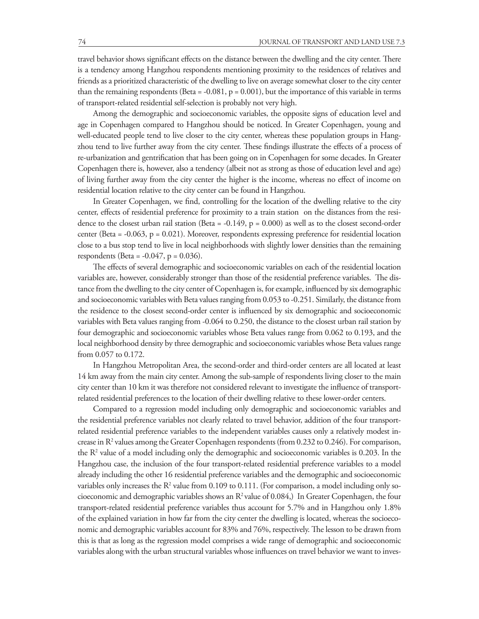travel behavior shows significant effects on the distance between the dwelling and the city center. There is a tendency among Hangzhou respondents mentioning proximity to the residences of relatives and friends as a prioritized characteristic of the dwelling to live on average somewhat closer to the city center than the remaining respondents (Beta = -0.081,  $p = 0.001$ ), but the importance of this variable in terms of transport-related residential self-selection is probably not very high.

Among the demographic and socioeconomic variables, the opposite signs of education level and age in Copenhagen compared to Hangzhou should be noticed. In Greater Copenhagen, young and well-educated people tend to live closer to the city center, whereas these population groups in Hangzhou tend to live further away from the city center. These findings illustrate the effects of a process of re-urbanization and gentrification that has been going on in Copenhagen for some decades. In Greater Copenhagen there is, however, also a tendency (albeit not as strong as those of education level and age) of living further away from the city center the higher is the income, whereas no effect of income on residential location relative to the city center can be found in Hangzhou.

In Greater Copenhagen, we find, controlling for the location of the dwelling relative to the city center, effects of residential preference for proximity to a train station on the distances from the residence to the closest urban rail station (Beta = -0.149,  $p = 0.000$ ) as well as to the closest second-order center (Beta = -0.063, p = 0.021). Moreover, respondents expressing preference for residential location close to a bus stop tend to live in local neighborhoods with slightly lower densities than the remaining respondents (Beta =  $-0.047$ , p = 0.036).

The effects of several demographic and socioeconomic variables on each of the residential location variables are, however, considerably stronger than those of the residential preference variables. The distance from the dwelling to the city center of Copenhagen is, for example, influenced by six demographic and socioeconomic variables with Beta values ranging from 0.053 to -0.251. Similarly, the distance from the residence to the closest second-order center is influenced by six demographic and socioeconomic variables with Beta values ranging from -0.064 to 0.250, the distance to the closest urban rail station by four demographic and socioeconomic variables whose Beta values range from 0.062 to 0.193, and the local neighborhood density by three demographic and socioeconomic variables whose Beta values range from 0.057 to 0.172.

In Hangzhou Metropolitan Area, the second-order and third-order centers are all located at least 14 km away from the main city center. Among the sub-sample of respondents living closer to the main city center than 10 km it was therefore not considered relevant to investigate the influence of transportrelated residential preferences to the location of their dwelling relative to these lower-order centers.

Compared to a regression model including only demographic and socioeconomic variables and the residential preference variables not clearly related to travel behavior, addition of the four transportrelated residential preference variables to the independent variables causes only a relatively modest increase in R<sup>2</sup> values among the Greater Copenhagen respondents (from 0.232 to 0.246). For comparison, the R2 value of a model including only the demographic and socioeconomic variables is 0.203. In the Hangzhou case, the inclusion of the four transport-related residential preference variables to a model already including the other 16 residential preference variables and the demographic and socioeconomic variables only increases the  $\mathsf{R}^2$  value from 0.109 to 0.111. (For comparison, a model including only socioeconomic and demographic variables shows an R<sup>2</sup> value of 0.084,) In Greater Copenhagen, the four transport-related residential preference variables thus account for 5.7% and in Hangzhou only 1.8% of the explained variation in how far from the city center the dwelling is located, whereas the socioeconomic and demographic variables account for 83% and 76%, respectively. The lesson to be drawn from this is that as long as the regression model comprises a wide range of demographic and socioeconomic variables along with the urban structural variables whose influences on travel behavior we want to inves-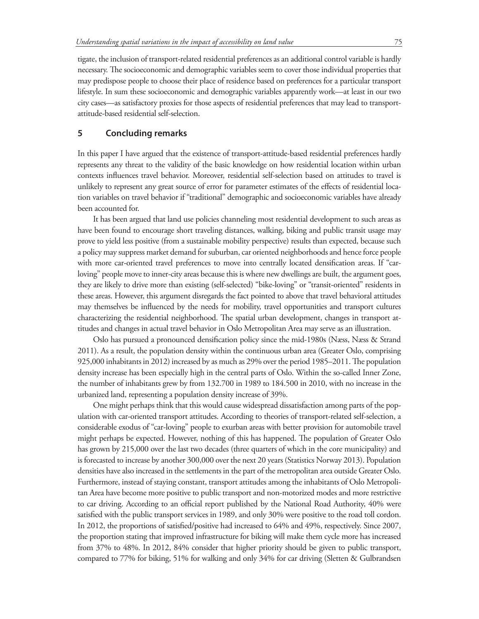tigate, the inclusion of transport-related residential preferences as an additional control variable is hardly necessary. The socioeconomic and demographic variables seem to cover those individual properties that may predispose people to choose their place of residence based on preferences for a particular transport lifestyle. In sum these socioeconomic and demographic variables apparently work—at least in our two city cases—as satisfactory proxies for those aspects of residential preferences that may lead to transportattitude-based residential self-selection.

## **5 Concluding remarks**

In this paper I have argued that the existence of transport-attitude-based residential preferences hardly represents any threat to the validity of the basic knowledge on how residential location within urban contexts influences travel behavior. Moreover, residential self-selection based on attitudes to travel is unlikely to represent any great source of error for parameter estimates of the effects of residential location variables on travel behavior if "traditional" demographic and socioeconomic variables have already been accounted for.

It has been argued that land use policies channeling most residential development to such areas as have been found to encourage short traveling distances, walking, biking and public transit usage may prove to yield less positive (from a sustainable mobility perspective) results than expected, because such a policy may suppress market demand for suburban, car oriented neighborhoods and hence force people with more car-oriented travel preferences to move into centrally located densification areas. If "carloving" people move to inner-city areas because this is where new dwellings are built, the argument goes, they are likely to drive more than existing (self-selected) "bike-loving" or "transit-oriented" residents in these areas. However, this argument disregards the fact pointed to above that travel behavioral attitudes may themselves be influenced by the needs for mobility, travel opportunities and transport cultures characterizing the residential neighborhood. The spatial urban development, changes in transport attitudes and changes in actual travel behavior in Oslo Metropolitan Area may serve as an illustration.

Oslo has pursued a pronounced densification policy since the mid-1980s (Næss, Næss & Strand 2011). As a result, the population density within the continuous urban area (Greater Oslo, comprising 925,000 inhabitants in 2012) increased by as much as 29% over the period 1985–2011. The population density increase has been especially high in the central parts of Oslo. Within the so-called Inner Zone, the number of inhabitants grew by from 132.700 in 1989 to 184.500 in 2010, with no increase in the urbanized land, representing a population density increase of 39%.

One might perhaps think that this would cause widespread dissatisfaction among parts of the population with car-oriented transport attitudes. According to theories of transport-related self-selection, a considerable exodus of "car-loving" people to exurban areas with better provision for automobile travel might perhaps be expected. However, nothing of this has happened. The population of Greater Oslo has grown by 215,000 over the last two decades (three quarters of which in the core municipality) and is forecasted to increase by another 300,000 over the next 20 years (Statistics Norway 2013). Population densities have also increased in the settlements in the part of the metropolitan area outside Greater Oslo. Furthermore, instead of staying constant, transport attitudes among the inhabitants of Oslo Metropolitan Area have become more positive to public transport and non-motorized modes and more restrictive to car driving. According to an official report published by the National Road Authority, 40% were satisfied with the public transport services in 1989, and only 30% were positive to the road toll cordon. In 2012, the proportions of satisfied/positive had increased to 64% and 49%, respectively. Since 2007, the proportion stating that improved infrastructure for biking will make them cycle more has increased from 37% to 48%. In 2012, 84% consider that higher priority should be given to public transport, compared to 77% for biking, 51% for walking and only 34% for car driving (Sletten & Gulbrandsen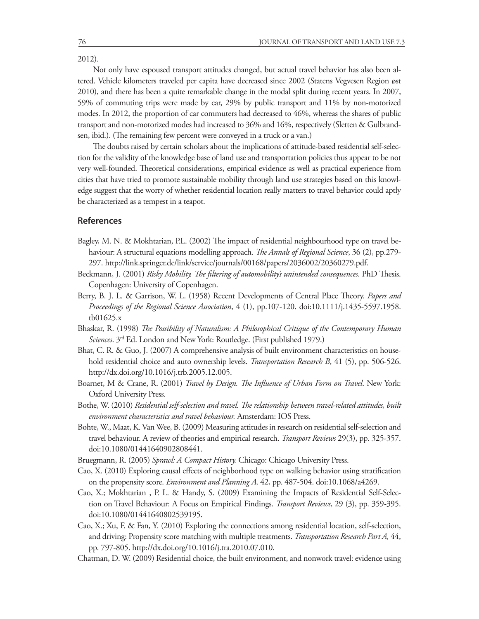2012).

Not only have espoused transport attitudes changed, but actual travel behavior has also been altered. Vehicle kilometers traveled per capita have decreased since 2002 (Statens Vegvesen Region øst 2010), and there has been a quite remarkable change in the modal split during recent years. In 2007, 59% of commuting trips were made by car, 29% by public transport and 11% by non-motorized modes. In 2012, the proportion of car commuters had decreased to 46%, whereas the shares of public transport and non-motorized modes had increased to 36% and 16%, respectively (Sletten & Gulbrandsen, ibid.). (The remaining few percent were conveyed in a truck or a van.)

The doubts raised by certain scholars about the implications of attitude-based residential self-selection for the validity of the knowledge base of land use and transportation policies thus appear to be not very well-founded. Theoretical considerations, empirical evidence as well as practical experience from cities that have tried to promote sustainable mobility through land use strategies based on this knowledge suggest that the worry of whether residential location really matters to travel behavior could aptly be characterized as a tempest in a teapot.

#### **References**

- Bagley, M. N. & Mokhtarian, P.L. (2002) The impact of residential neighbourhood type on travel behaviour: A structural equations modelling approach. *The Annals of Regional Science*, 36 (2), pp.279- 297. http://link.springer.de/link/service/journals/00168/papers/2036002/20360279.pdf.
- Beckmann, J. (2001) *Risky Mobility. The filtering of automobility's unintended consequences*. PhD Thesis. Copenhagen: University of Copenhagen.
- Berry, B. J. L. & Garrison, W. L. (1958) Recent Developments of Central Place Theory. *Papers and Proceedings of the Regional Science Association*, 4 (1), pp.107-120. doi:10.1111/j.1435-5597.1958. tb01625.x
- Bhaskar, R. (1998) *The Possibility of Naturalism: A Philosophical Critique of the Contemporary Human Sciences*. 3rd Ed. London and New York: Routledge. (First published 1979.)
- Bhat, C. R. & Guo, J. (2007) A comprehensive analysis of built environment characteristics on household residential choice and auto ownership levels. *Transportation Research B*, 41 (5), pp. 506-526. http://dx.doi.org/10.1016/j.trb.2005.12.005.
- Boarnet, M & Crane, R. (2001) *Travel by Design. The Influence of Urban Form on Travel*. New York: Oxford University Press.
- Bothe, W. (2010) *Residential self-selection and travel. The relationship between travel-related attitudes, built environment characteristics and travel behaviour.* Amsterdam: IOS Press.
- Bohte, W., Maat, K. Van Wee, B. (2009) Measuring attitudes in research on residential self-selection and travel behaviour. A review of theories and empirical research. *Transport Reviews* 29(3), pp. 325-357. doi:10.1080/01441640902808441.
- Bruegmann, R. (2005) *Sprawl: A Compact History.* Chicago: Chicago University Press.
- Cao, X. (2010) Exploring causal effects of neighborhood type on walking behavior using stratification on the propensity score. *Environment and Planning A,* 42, pp. 487-504. doi:10.1068/a4269.
- Cao, X.; Mokhtarian , P. L. & Handy, S. (2009) Examining the Impacts of Residential Self-Selection on Travel Behaviour: A Focus on Empirical Findings. *Transport Reviews*, 29 (3), pp. 359-395. doi:10.1080/01441640802539195.
- Cao, X.; Xu, F. & Fan, Y. (2010) Exploring the connections among residential location, self-selection, and driving: Propensity score matching with multiple treatments. *Transportation Research Part A,* 44, pp. 797-805. http://dx.doi.org/10.1016/j.tra.2010.07.010.
- Chatman, D. W. (2009) Residential choice, the built environment, and nonwork travel: evidence using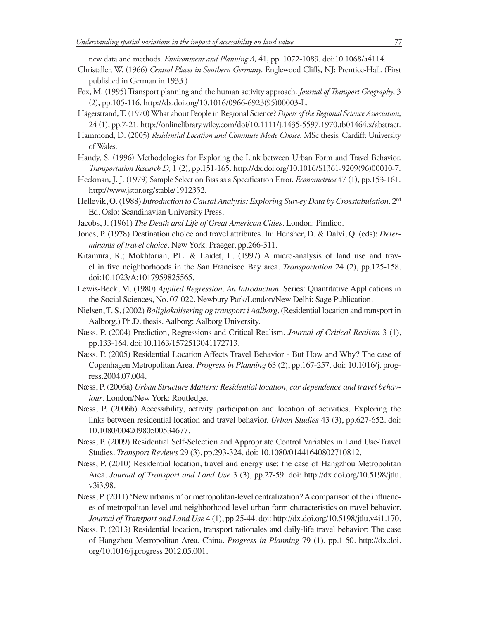new data and methods. *Environment and Planning A,* 41, pp. 1072-1089. doi:10.1068/a4114.

- Christaller, W. (1966) *Central Places in Southern Germany*. Englewood Cliffs, NJ: Prentice-Hall. (First published in German in 1933.)
- Fox, M. (1995) Transport planning and the human activity approach. *Journal of Transport Geography*, 3 (2), pp.105-116. http://dx.doi.org/10.1016/0966-6923(95)00003-L.
- Hägerstrand, T. (1970) What about People in Regional Science? *Papers of the Regional Science Association*, 24 (1), pp.7-21. http://onlinelibrary.wiley.com/doi/10.1111/j.1435-5597.1970.tb01464.x/abstract.
- Hammond, D. (2005) *Residential Location and Commute Mode Choice*. MSc thesis. Cardiff: University of Wales.
- Handy, S. (1996) Methodologies for Exploring the Link between Urban Form and Travel Behavior. *Transportation Research D*, 1 (2), pp.151-165. http://dx.doi.org/10.1016/S1361-9209(96)00010-7.
- Heckman, J. J. (1979) Sample Selection Bias as a Specification Error. *Econometrica* 47 (1), pp.153-161. http://www.jstor.org/stable/1912352.
- Hellevik, O. (1988) *Introduction to Causal Analysis: Exploring Survey Data by Crosstabulation*. 2nd Ed. Oslo: Scandinavian University Press.
- Jacobs, J. (1961) *The Death and Life of Great American Cities*. London: Pimlico.
- Jones, P. (1978) Destination choice and travel attributes. In: Hensher, D. & Dalvi, Q. (eds): *Determinants of travel choice*. New York: Praeger, pp.266-311.
- Kitamura, R.; Mokhtarian, P.L. & Laidet, L. (1997) A micro-analysis of land use and travel in five neighborhoods in the San Francisco Bay area. *Transportation* 24 (2), pp.125-158. doi:10.1023/A:1017959825565.
- Lewis-Beck, M. (1980) *Applied Regression. An Introduction*. Series: Quantitative Applications in the Social Sciences, No. 07-022. Newbury Park/London/New Delhi: Sage Publication.
- Nielsen, T. S. (2002) *Boliglokalisering og transport i Aalborg*. (Residential location and transport in Aalborg.) Ph.D. thesis. Aalborg: Aalborg University.
- Næss, P. (2004) Prediction, Regressions and Critical Realism. *Journal of Critical Realism* 3 (1), pp.133-164. doi:10.1163/1572513041172713.
- Næss, P. (2005) Residential Location Affects Travel Behavior But How and Why? The case of Copenhagen Metropolitan Area. *Progress in Planning* 63 (2), pp.167-257. doi: 10.1016/j. progress.2004.07.004.
- Næss, P. (2006a) *Urban Structure Matters: Residential location, car dependence and travel behaviour*. London/New York: Routledge.
- Næss, P. (2006b) Accessibility, activity participation and location of activities. Exploring the links between residential location and travel behavior. *Urban Studies* 43 (3), pp.627-652. doi: 10.1080/00420980500534677.
- Næss, P. (2009) Residential Self-Selection and Appropriate Control Variables in Land Use-Travel Studies. *Transport Reviews* 29 (3), pp.293-324. doi: 10.1080/01441640802710812.
- Næss, P. (2010) Residential location, travel and energy use: the case of Hangzhou Metropolitan Area. *Journal of Transport and Land Use* 3 (3), pp.27-59. doi: http://dx.doi.org/10.5198/jtlu. v3i3.98.
- Næss, P. (2011) 'New urbanism' or metropolitan-level centralization? A comparison of the influences of metropolitan-level and neighborhood-level urban form characteristics on travel behavior. *Journal of Transport and Land Use* 4 (1), pp.25-44. doi: http://dx.doi.org/10.5198/jtlu.v4i1.170.
- Næss, P. (2013) Residential location, transport rationales and daily-life travel behavior: The case of Hangzhou Metropolitan Area, China. *Progress in Planning* 79 (1), pp.1-50. http://dx.doi. org/10.1016/j.progress.2012.05.001.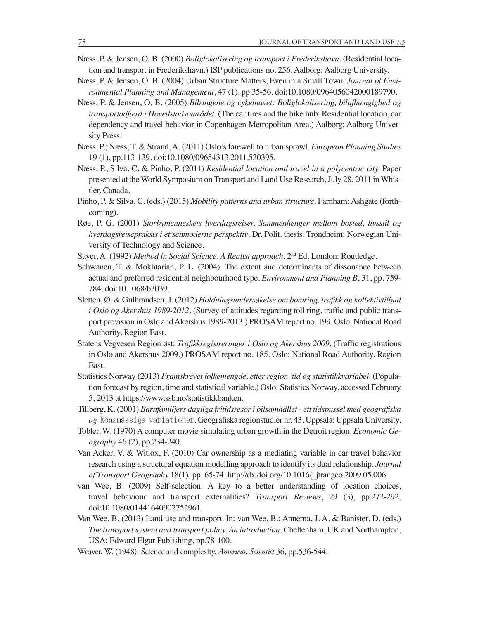- Næss, P. & Jensen, O. B. (2000) *Boliglokalisering og transport i Frederikshavn*. (Residential location and transport in Frederikshavn.) ISP publications no. 256. Aalborg: Aalborg University.
- Næss, P. & Jensen, O. B. (2004) Urban Structure Matters, Even in a Small Town. *Journal of Environmental Planning and Management*, 47 (1), pp.35-56. doi:10.1080/0964056042000189790.
- Næss, P. & Jensen, O. B. (2005) *Bilringene og cykelnavet: Boliglokalisering, bilafhængighed og transportadfærd i Hovedstadsområdet*. (The car tires and the bike hub: Residential location, car dependency and travel behavior in Copenhagen Metropolitan Area.) Aalborg: Aalborg University Press.
- Næss, P.; Næss, T. & Strand, A. (2011) Oslo's farewell to urban sprawl. *European Planning Studies* 19 (1), pp.113-139. doi:10.1080/09654313.2011.530395.
- Næss, P., Silva, C. & Pinho, P. (2011) *Residential location and travel in a polycentric city.* Paper presented at the World Symposium on Transport and Land Use Research, July 28, 2011 in Whistler, Canada.
- Pinho, P. & Silva, C. (eds.) (2015) *Mobility patterns and urban structure*. Farnham: Ashgate (forthcoming).
- Røe, P. G. (2001) *Storbymenneskets hverdagsreiser. Sammenhenger mellom bosted, livsstil og hverdagsreisepraksis i et senmoderne perspektiv*. Dr. Polit. thesis. Trondheim: Norwegian University of Technology and Science.
- Sayer, A. (1992) *Method in Social Science. A Realist approach*. 2nd Ed. London: Routledge.
- Schwanen, T. & Mokhtarian, P. L. (2004): The extent and determinants of dissonance between actual and preferred residential neighbourhood type. *Environment and Planning B*, 31, pp. 759- 784. doi:10.1068/b3039.
- Sletten, Ø. & Gulbrandsen, J. (2012) *Holdningsundersøkelse om bomring, trafikk og kollektivtilbud i Oslo og Akershus 1989-2012*. (Survey of attitudes regarding toll ring, traffic and public transport provision in Oslo and Akershus 1989-2013.) PROSAM report no. 199. Oslo: National Road Authority, Region East.
- Statens Vegvesen Region øst: *Trafikkregistreringer i Oslo og Akershus 2009*. (Traffic registrations in Oslo and Akershus 2009.) PROSAM report no. 185. Oslo: National Road Authority, Region East.
- Statistics Norway (2013) *Framskrevet folkemengde, etter region, tid og statistikkvariabel*. (Population forecast by region, time and statistical variable.) Oslo: Statistics Norway, accessed February 5, 2013 at https://www.ssb.no/statistikkbanken.
- Tillberg, K. (2001) *Barnfamiljers dagliga fritidsresor i bilsamhället ett tidspussel med geografiska og* könsmässiga variationer. Geografiska regionstudier nr. 43. Uppsala: Uppsala University.
- Tobler, W. (1970) A computer movie simulating urban growth in the Detroit region. *Economic Geography* 46 (2), pp.234-240.
- Van Acker, V. & Witlox, F. (2010) Car ownership as a mediating variable in car travel behavior research using a structural equation modelling approach to identify its dual relationship. *Journal of Transport Geography* 18(1), pp. 65-74. http://dx.doi.org/10.1016/j.jtrangeo.2009.05.006
- van Wee, B. (2009) Self-selection: A key to a better understanding of location choices, travel behaviour and transport externalities? *Transport Reviews*, 29 (3), pp.272-292. doi:10.1080/01441640902752961
- Van Wee, B. (2013) Land use and transport. In: van Wee, B.; Annema, J. A. & Banister, D. (eds.) *The transport system and transport policy. An introduction*. Cheltenham, UK and Northampton, USA: Edward Elgar Publishing, pp.78-100.
- Weaver, W. (1948): Science and complexity. *American Scientist* 36, pp.536-544.